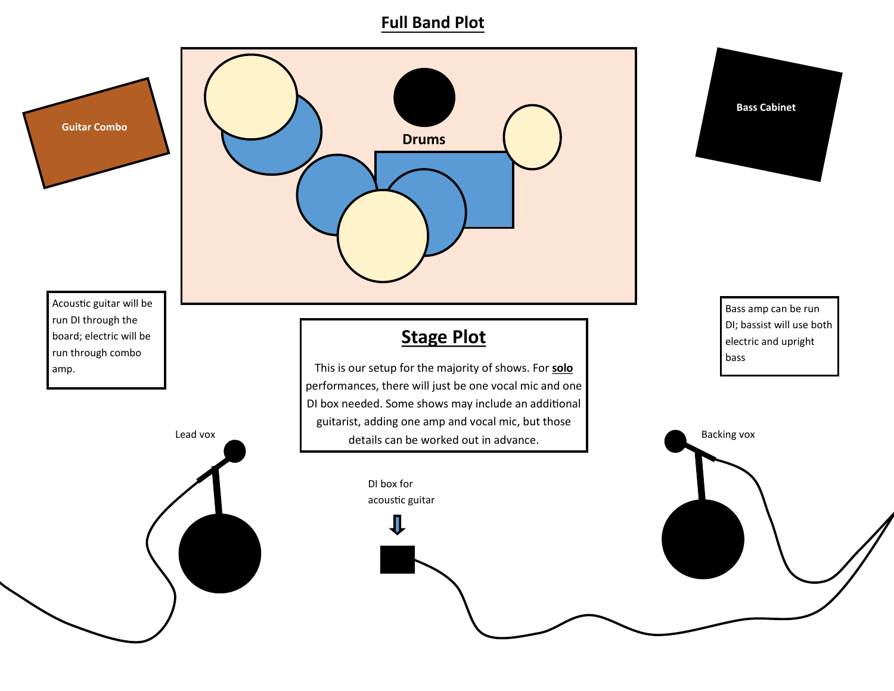#### **Full Band Plot**



Acoustic guitar will be run DI through the board; electric will be run through combo amp.



# **Stage Plot**

Lead vox Backing vox<br>
details can be worked out in advance. This is our setup for the majority of shows. For **solo** performances, there will just be one vocal mic and one DI box needed. Some shows may include an additional guitarist, adding one amp and vocal mic, but those

#### DI box for acoustic guitar



Bass amp can be run DI; bassist will use both electric and upright bass